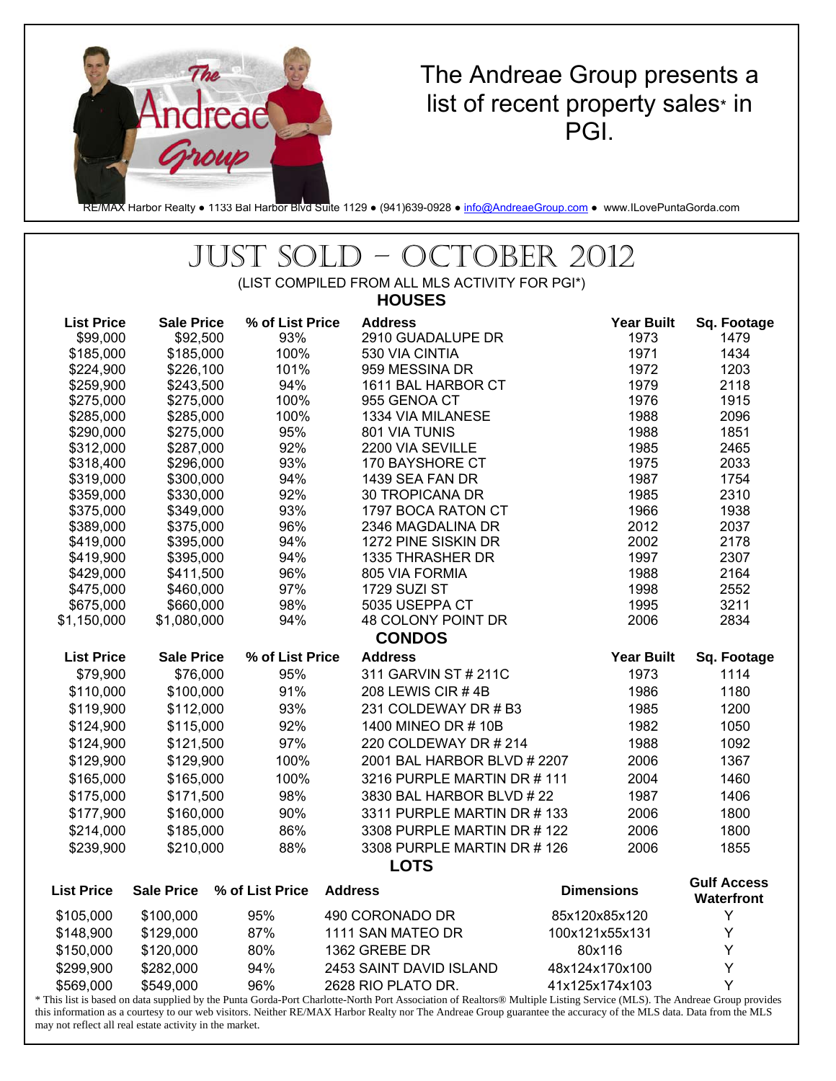

## The Andreae Group presents a list of recent property sales\* in PGI.

RE/MAX Harbor Realty • 1133 Bal Harbor Blvd Suite 1129 • (941)639-0928 • info@AndreaeGroup.com • www.ILovePuntaGorda.com

## JUST SOLD – OCTOBER 2012

(LIST COMPILED FROM ALL MLS ACTIVITY FOR PGI\*) **HOUSES** 

| <b>List Price</b><br><b>Sale Price</b> | % of List Price | <b>Address</b>                      | <b>Year Built</b> | Sq. Footage                      |
|----------------------------------------|-----------------|-------------------------------------|-------------------|----------------------------------|
| \$99,000<br>\$92,500                   | 93%             | 2910 GUADALUPE DR                   | 1973              | 1479                             |
| \$185,000<br>\$185,000                 | 100%            | 530 VIA CINTIA                      | 1971              | 1434                             |
| \$224,900<br>\$226,100                 | 101%            | 959 MESSINA DR                      | 1972              | 1203                             |
| \$259,900<br>\$243,500                 | 94%             | 1611 BAL HARBOR CT                  | 1979              | 2118                             |
| \$275,000<br>\$275,000                 | 100%            | 955 GENOA CT                        | 1976              | 1915                             |
| \$285,000<br>\$285,000                 | 100%            | 1334 VIA MILANESE                   | 1988              | 2096                             |
| \$290,000<br>\$275,000                 | 95%             | 801 VIA TUNIS                       | 1988              | 1851                             |
| \$312,000<br>\$287,000                 | 92%             | 2200 VIA SEVILLE                    | 1985              | 2465                             |
| \$318,400<br>\$296,000                 | 93%             | 170 BAYSHORE CT                     | 1975              | 2033                             |
| \$319,000<br>\$300,000                 | 94%             | 1439 SEA FAN DR                     | 1987              | 1754                             |
| \$359,000<br>\$330,000                 | 92%             | 30 TROPICANA DR                     | 1985              | 2310                             |
| \$375,000<br>\$349,000                 | 93%             | 1797 BOCA RATON CT                  | 1966              | 1938                             |
| \$375,000<br>\$389,000                 | 96%             | 2346 MAGDALINA DR                   | 2012              | 2037                             |
| \$395,000<br>\$419,000                 | 94%             | 1272 PINE SISKIN DR                 | 2002              | 2178                             |
| \$419,900<br>\$395,000                 | 94%             | 1335 THRASHER DR                    | 1997              | 2307                             |
| \$429,000<br>\$411,500                 | 96%             | 805 VIA FORMIA                      | 1988              | 2164                             |
| \$475,000<br>\$460,000                 | 97%             | 1729 SUZI ST                        | 1998              | 2552                             |
| \$675,000<br>\$660,000                 | 98%             | 5035 USEPPA CT                      | 1995              | 3211                             |
| \$1,080,000<br>\$1,150,000             | 94%             | 48 COLONY POINT DR<br><b>CONDOS</b> | 2006              | 2834                             |
| <b>List Price</b><br><b>Sale Price</b> | % of List Price | <b>Address</b>                      | <b>Year Built</b> | Sq. Footage                      |
| \$79,900<br>\$76,000                   | 95%             | 311 GARVIN ST # 211C                | 1973              | 1114                             |
|                                        |                 |                                     |                   |                                  |
| \$110,000<br>\$100,000                 | 91%             | 208 LEWIS CIR #4B                   | 1986              | 1180                             |
| \$119,900<br>\$112,000                 | 93%             | 231 COLDEWAY DR # B3                | 1985              | 1200                             |
| \$124,900<br>\$115,000                 | 92%             | 1400 MINEO DR #10B                  | 1982              | 1050                             |
| \$124,900<br>\$121,500                 | 97%             | 220 COLDEWAY DR # 214               | 1988              | 1092                             |
| \$129,900<br>\$129,900                 | 100%            | 2001 BAL HARBOR BLVD # 2207         | 2006              | 1367                             |
| \$165,000<br>\$165,000                 | 100%            | 3216 PURPLE MARTIN DR #111          | 2004              | 1460                             |
| \$175,000<br>\$171,500                 | 98%             | 3830 BAL HARBOR BLVD #22            | 1987              | 1406                             |
| \$177,900<br>\$160,000                 | 90%             | 3311 PURPLE MARTIN DR #133          | 2006              | 1800                             |
| \$214,000<br>\$185,000                 | 86%             | 3308 PURPLE MARTIN DR #122          | 2006              | 1800                             |
| \$239,900<br>\$210,000                 | 88%             | 3308 PURPLE MARTIN DR #126          | 2006              | 1855                             |
|                                        |                 | <b>LOTS</b>                         |                   |                                  |
| <b>Sale Price</b><br><b>List Price</b> | % of List Price | <b>Address</b>                      | <b>Dimensions</b> | <b>Gulf Access</b><br>Waterfront |
| \$105,000<br>\$100,000                 | 95%             | 490 CORONADO DR                     | 85x120x85x120     | Υ                                |
| \$148,900<br>\$129,000                 | 87%             | 1111 SAN MATEO DR                   | 100x121x55x131    | Υ                                |
| \$120,000<br>\$150,000                 | 80%             | 1362 GREBE DR                       | 80x116            | Υ                                |
| \$299,900<br>\$282,000                 | 94%             | 2453 SAINT DAVID ISLAND             | 48x124x170x100    | Υ                                |
| \$569,000<br>\$549,000                 | 96%             | 2628 RIO PLATO DR.                  | 41x125x174x103    | Y                                |

\* This list is based on data supplied by the Punta Gorda-Port Charlotte-North Port Association of Realtors® Multiple Listing Service (MLS). The Andreae Group provides this information as a courtesy to our web visitors. Neither RE/MAX Harbor Realty nor The Andreae Group guarantee the accuracy of the MLS data. Data from the MLS may not reflect all real estate activity in the market.